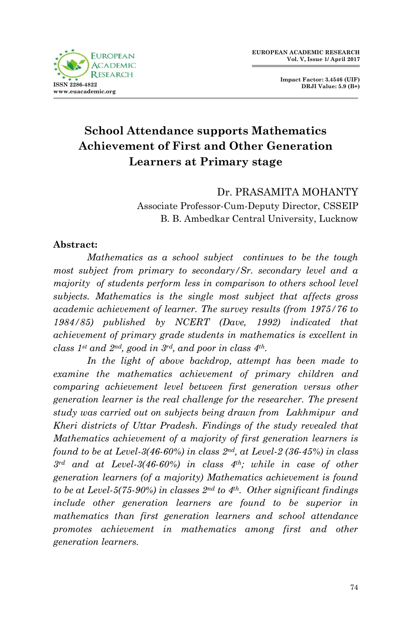

**Impact Factor: 3.4546 (UIF) DRJI Value: 5.9 (B+)**

# **School Attendance supports Mathematics Achievement of First and Other Generation Learners at Primary stage**

Dr. PRASAMITA MOHANTY Associate Professor-Cum-Deputy Director, CSSEIP B. B. Ambedkar Central University, Lucknow

### **Abstract:**

*Mathematics as a school subject continues to be the tough most subject from primary to secondary/Sr. secondary level and a majority of students perform less in comparison to others school level subjects. Mathematics is the single most subject that affects gross academic achievement of learner. The survey results (from 1975/76 to 1984/85) published by NCERT (Dave, 1992) indicated that achievement of primary grade students in mathematics is excellent in class 1st and 2nd, good in 3rd, and poor in class 4th.*

*In the light of above backdrop, attempt has been made to examine the mathematics achievement of primary children and comparing achievement level between first generation versus other generation learner is the real challenge for the researcher. The present study was carried out on subjects being drawn from Lakhmipur and Kheri districts of Uttar Pradesh. Findings of the study revealed that Mathematics achievement of a majority of first generation learners is found to be at Level-3(46-60%) in class 2nd, at Level-2 (36-45%) in class 3rd and at Level-3(46-60%) in class 4th; while in case of other generation learners (of a majority) Mathematics achievement is found to be at Level-5(75-90%) in classes 2nd to 4th. Other significant findings include other generation learners are found to be superior in mathematics than first generation learners and school attendance promotes achievement in mathematics among first and other generation learners.*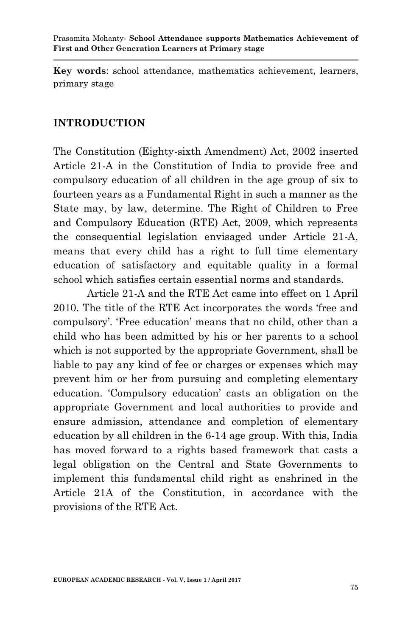**Key words**: school attendance, mathematics achievement, learners, primary stage

### **INTRODUCTION**

The Constitution (Eighty-sixth Amendment) Act, 2002 inserted Article 21-A in the Constitution of India to provide free and compulsory education of all children in the age group of six to fourteen years as a Fundamental Right in such a manner as the State may, by law, determine. The Right of Children to Free and Compulsory Education (RTE) Act, 2009, which represents the consequential legislation envisaged under Article 21-A, means that every child has a right to full time elementary education of satisfactory and equitable quality in a formal school which satisfies certain essential norms and standards.

Article 21-A and the RTE Act came into effect on 1 April 2010. The title of the RTE Act incorporates the words "free and compulsory". "Free education" means that no child, other than a child who has been admitted by his or her parents to a school which is not supported by the appropriate Government, shall be liable to pay any kind of fee or charges or expenses which may prevent him or her from pursuing and completing elementary education. "Compulsory education" casts an obligation on the appropriate Government and local authorities to provide and ensure admission, attendance and completion of elementary education by all children in the 6-14 age group. With this, India has moved forward to a rights based framework that casts a legal obligation on the Central and State Governments to implement this fundamental child right as enshrined in the Article 21A of the Constitution, in accordance with the provisions of the RTE Act.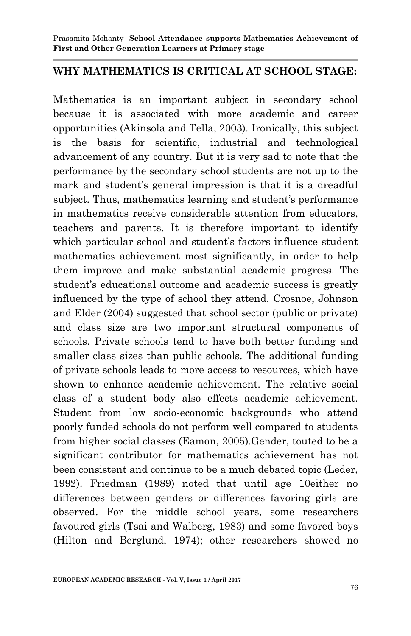### **WHY MATHEMATICS IS CRITICAL AT SCHOOL STAGE:**

Mathematics is an important subject in secondary school because it is associated with more academic and career opportunities (Akinsola and Tella, 2003). Ironically, this subject is the basis for scientific, industrial and technological advancement of any country. But it is very sad to note that the performance by the secondary school students are not up to the mark and student's general impression is that it is a dreadful subject. Thus, mathematics learning and student's performance in mathematics receive considerable attention from educators, teachers and parents. It is therefore important to identify which particular school and student's factors influence student mathematics achievement most significantly, in order to help them improve and make substantial academic progress. The student's educational outcome and academic success is greatly influenced by the type of school they attend. Crosnoe, Johnson and Elder (2004) suggested that school sector (public or private) and class size are two important structural components of schools. Private schools tend to have both better funding and smaller class sizes than public schools. The additional funding of private schools leads to more access to resources, which have shown to enhance academic achievement. The relative social class of a student body also effects academic achievement. Student from low socio-economic backgrounds who attend poorly funded schools do not perform well compared to students from higher social classes (Eamon, 2005).Gender, touted to be a significant contributor for mathematics achievement has not been consistent and continue to be a much debated topic (Leder, 1992). Friedman (1989) noted that until age 10either no differences between genders or differences favoring girls are observed. For the middle school years, some researchers favoured girls (Tsai and Walberg, 1983) and some favored boys (Hilton and Berglund, 1974); other researchers showed no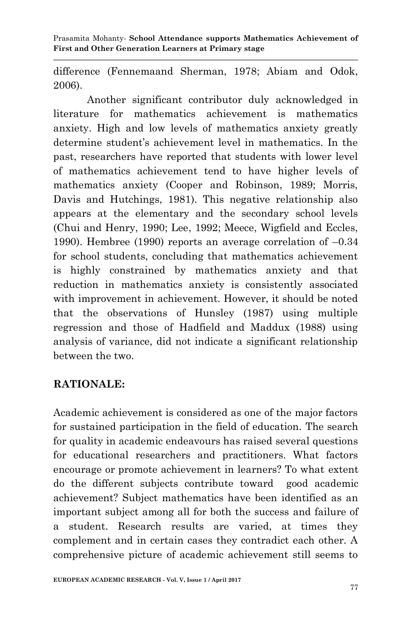difference (Fennemaand Sherman, 1978; Abiam and Odok, 2006).

Another significant contributor duly acknowledged in literature for mathematics achievement is mathematics anxiety. High and low levels of mathematics anxiety greatly determine student"s achievement level in mathematics. In the past, researchers have reported that students with lower level of mathematics achievement tend to have higher levels of mathematics anxiety (Cooper and Robinson, 1989; Morris, Davis and Hutchings, 1981). This negative relationship also appears at the elementary and the secondary school levels (Chui and Henry, 1990; Lee, 1992; Meece, Wigfield and Eccles, 1990). Hembree (1990) reports an average correlation of –0.34 for school students, concluding that mathematics achievement is highly constrained by mathematics anxiety and that reduction in mathematics anxiety is consistently associated with improvement in achievement. However, it should be noted that the observations of Hunsley (1987) using multiple regression and those of Hadfield and Maddux (1988) using analysis of variance, did not indicate a significant relationship between the two.

## **RATIONALE:**

Academic achievement is considered as one of the major factors for sustained participation in the field of education. The search for quality in academic endeavours has raised several questions for educational researchers and practitioners. What factors encourage or promote achievement in learners? To what extent do the different subjects contribute toward good academic achievement? Subject mathematics have been identified as an important subject among all for both the success and failure of a student. Research results are varied, at times they complement and in certain cases they contradict each other. A comprehensive picture of academic achievement still seems to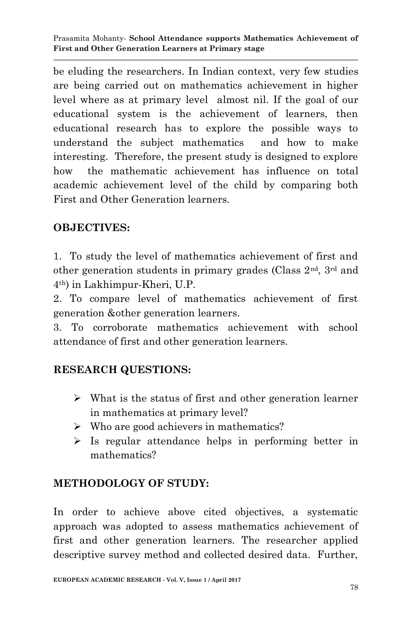be eluding the researchers. In Indian context, very few studies are being carried out on mathematics achievement in higher level where as at primary level almost nil. If the goal of our educational system is the achievement of learners, then educational research has to explore the possible ways to understand the subject mathematics and how to make interesting. Therefore, the present study is designed to explore how the mathematic achievement has influence on total academic achievement level of the child by comparing both First and Other Generation learners.

### **OBJECTIVES:**

1. To study the level of mathematics achievement of first and other generation students in primary grades (Class 2nd, 3rd and 4th) in Lakhimpur-Kheri, U.P.

2. To compare level of mathematics achievement of first generation &other generation learners.

3. To corroborate mathematics achievement with school attendance of first and other generation learners.

## **RESEARCH QUESTIONS:**

- $\triangleright$  What is the status of first and other generation learner in mathematics at primary level?
- $\triangleright$  Who are good achievers in mathematics?
- $\triangleright$  Is regular attendance helps in performing better in mathematics?

## **METHODOLOGY OF STUDY:**

In order to achieve above cited objectives, a systematic approach was adopted to assess mathematics achievement of first and other generation learners. The researcher applied descriptive survey method and collected desired data. Further,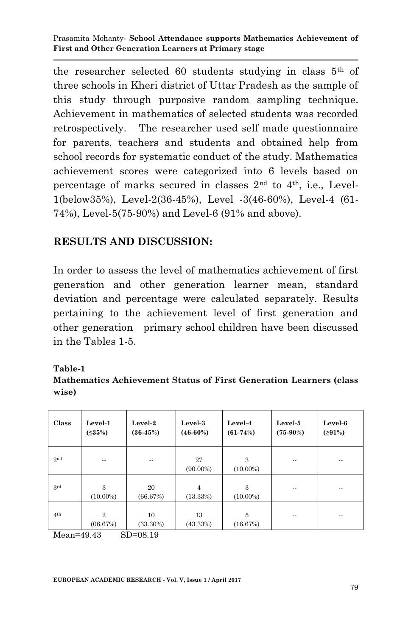the researcher selected 60 students studying in class 5th of three schools in Kheri district of Uttar Pradesh as the sample of this study through purposive random sampling technique. Achievement in mathematics of selected students was recorded retrospectively. The researcher used self made questionnaire for parents, teachers and students and obtained help from school records for systematic conduct of the study. Mathematics achievement scores were categorized into 6 levels based on percentage of marks secured in classes  $2<sup>nd</sup>$  to  $4<sup>th</sup>$ , i.e., Level-1(below35%), Level-2(36-45%), Level -3(46-60%), Level-4 (61- 74%), Level-5(75-90%) and Level-6 (91% and above).

### **RESULTS AND DISCUSSION:**

In order to assess the level of mathematics achievement of first generation and other generation learner mean, standard deviation and percentage were calculated separately. Results pertaining to the achievement level of first generation and other generation primary school children have been discussed in the Tables 1-5.

#### **Table-1**

**Mathematics Achievement Status of First Generation Learners (class wise)**

| Class                           | Level-1<br>$( \leq 35\%)$  | Level-2<br>$(36-45%)$            | Level-3<br>$(46-60%)$      | Level-4<br>$(61-74%)$ | Level-5<br>$(75-90\%)$ | Level-6<br>(291%)        |
|---------------------------------|----------------------------|----------------------------------|----------------------------|-----------------------|------------------------|--------------------------|
| 2nd                             | $\sim$ $\sim$              | $\sim$ $\sim$                    | 27<br>$(90.00\%)$          | 3<br>$(10.00\%)$      | $\sim$ $\sim$          | $\overline{\phantom{a}}$ |
| 3rd                             | 3<br>$(10.00\%)$           | 20<br>(66.67%)                   | $\overline{4}$<br>(13.33%) | 3<br>$(10.00\%)$      | $\sim$ $\sim$          | $-$                      |
| 4 <sup>th</sup><br>$\mathbf{A}$ | $\overline{2}$<br>(06.67%) | 10<br>$(33.30\%)$<br>$CD = 0.10$ | 13<br>(43.33%)             | 5<br>(16.67%)         | $- -$                  | $- -$                    |

Mean=49.43 SD=08.19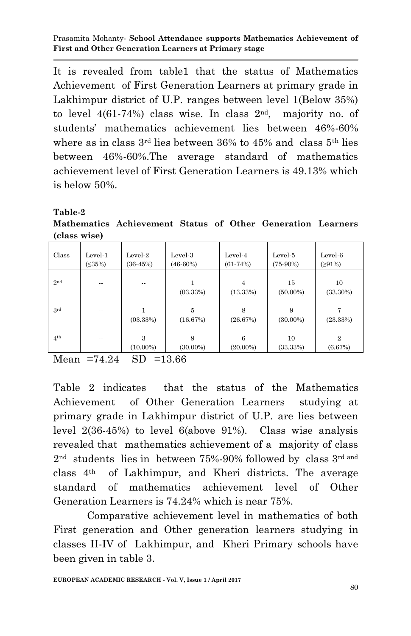It is revealed from table1 that the status of Mathematics Achievement of First Generation Learners at primary grade in Lakhimpur district of U.P. ranges between level 1(Below 35%) to level  $4(61-74%)$  class wise. In class  $2<sup>nd</sup>$ , majority no. of students" mathematics achievement lies between 46%-60% where as in class  $3<sup>rd</sup>$  lies between 36% to 45% and class  $5<sup>th</sup>$  lies between 46%-60%.The average standard of mathematics achievement level of First Generation Learners is 49.13% which is below 50%.

#### **Table-2**

**Mathematics Achievement Status of Other Generation Learners (class wise)**

| Class           | Level-1<br>$(\leq 35\%)$ | Level- $2$<br>$(36-45%)$ | Level-3<br>$(46-60%)$ | Level-4<br>$(61-74%)$ | Level-5<br>$(75-90%)$ | Level-6<br>(291%)         |
|-----------------|--------------------------|--------------------------|-----------------------|-----------------------|-----------------------|---------------------------|
| 2nd             | $- -$                    | $- -$                    | (03.33%)              | 4<br>(13.33%)         | 15<br>$(50.00\%)$     | 10<br>$(33.30\%)$         |
| 3rd             | $- -$                    | (03.33%)                 | 5<br>(16.67%)         | 8<br>(26.67%)         | 9<br>$(30.00\%)$      | (23.33%)                  |
| 4 <sup>th</sup> | $-$                      | 3<br>$(10.00\%)$         | 9<br>$(30.00\%)$      | 6<br>$(20.00\%)$      | 10<br>(33.33%)        | $\overline{2}$<br>(6.67%) |

Mean  $=74.24$  SD  $=13.66$ 

Table 2 indicates that the status of the Mathematics Achievement of Other Generation Learners studying at primary grade in Lakhimpur district of U.P. are lies between level 2(36-45%) to level 6(above 91%). Class wise analysis revealed that mathematics achievement of a majority of class 2nd students lies in between 75%-90% followed by class 3rd and class 4th of Lakhimpur, and Kheri districts. The average standard of mathematics achievement level of Other Generation Learners is 74.24% which is near 75%.

Comparative achievement level in mathematics of both First generation and Other generation learners studying in classes II-IV of Lakhimpur, and Kheri Primary schools have been given in table 3.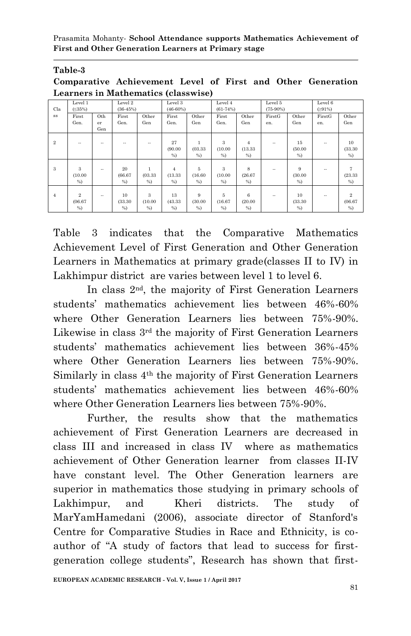#### **Table-3**

**Comparative Achievement Level of First and Other Generation Learners in Mathematics (classwise)**

|                | Level 1        |            | Level 2    |         | Level 3        |         | Level 4    |                | Level 5    |         | Level 6              |                |
|----------------|----------------|------------|------------|---------|----------------|---------|------------|----------------|------------|---------|----------------------|----------------|
| Cla            | $( \leq 35\%)$ |            | $(36-45%)$ |         | $(46-60%)$     |         | $(61-74%)$ |                | $(75-90%)$ |         | (291%)               |                |
| <b>SS</b>      | First          | Oth        | First      | Other   | First          | Other   | First      | Other          | FirstG     | Other   | FirstG               | Other          |
|                | Gen.           | er         | Gen.       | Gen     | Gen.           | Gen     | Gen.       | Gen            | en.        | Gen     | en.                  | Gen            |
|                |                | Gen        |            |         |                |         |            |                |            |         |                      |                |
|                |                |            |            |         |                |         |            |                |            |         |                      |                |
| $\overline{2}$ | $\sim$         | $\sim$     | $\sim$     | $\sim$  | 27             | 1       | 3          | $\overline{4}$ | $\sim$     | 15      | $\sim$               | 10             |
|                |                |            |            |         | (90.00)        | (03.33) | (10.00)    | (13.33)        |            | (50.00) |                      | (33.30)        |
|                |                |            |            |         | %              | %       | %          | %              |            | %       |                      | %              |
|                |                |            |            |         |                |         |            |                |            |         |                      |                |
| 3              | 3              | $\sim$     | 20         | 1       | $\overline{4}$ | 5       | 3          | 8              | $\sim$     | 9       | $\ddot{\phantom{a}}$ | 7              |
|                | (10.00)        |            | (66.67)    | (03.33) | (13.33)        | (16.60) | (10.00)    | (26.67)        |            | (30.00) |                      | (23.33)        |
|                | %              |            | %          | %       | %              | %       | %          | %              |            | %       |                      | %              |
|                |                |            |            |         |                |         |            |                |            |         |                      |                |
| $\overline{4}$ | $\overline{2}$ | $\sim$ $-$ | 10         | 3       | 13             | 9       | 5          | 6              | $\sim$     | 10      | $\ddot{\phantom{a}}$ | $\overline{2}$ |
|                | (06.67)        |            | (33.30)    | (10.00) | (43.33)        | (30.00) | (16.67)    | (20.00)        |            | (33.30) |                      | (06.67)        |
|                | %              |            | %          | %       | %              | %       | %          | %              |            | %       |                      | %              |

Table 3 indicates that the Comparative Mathematics Achievement Level of First Generation and Other Generation Learners in Mathematics at primary grade(classes II to IV) in Lakhimpur district are varies between level 1 to level 6.

In class 2nd, the majority of First Generation Learners students" mathematics achievement lies between 46%-60% where Other Generation Learners lies between 75%-90%. Likewise in class 3rd the majority of First Generation Learners students" mathematics achievement lies between 36%-45% where Other Generation Learners lies between 75%-90%. Similarly in class 4th the majority of First Generation Learners students" mathematics achievement lies between 46%-60% where Other Generation Learners lies between 75%-90%.

Further, the results show that the mathematics achievement of First Generation Learners are decreased in class III and increased in class IV where as mathematics achievement of Other Generation learner from classes II-IV have constant level. The Other Generation learners are superior in mathematics those studying in primary schools of Lakhimpur, and Kheri districts. The study of MarYamHamedani (2006), associate director of Stanford's Centre for Comparative Studies in Race and Ethnicity, is coauthor of "A study of factors that lead to success for firstgeneration college students", Research has shown that first-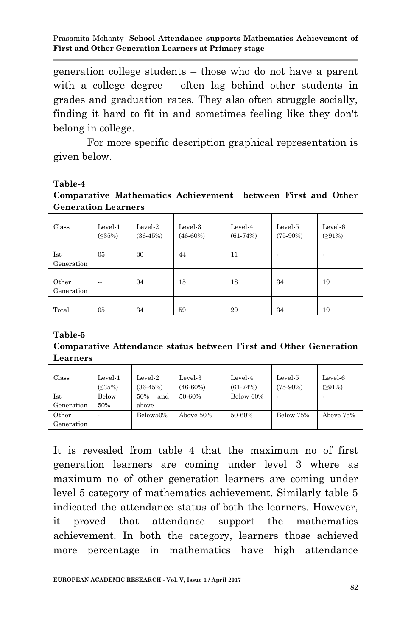generation college students – those who do not have a parent with a college degree – often lag behind other students in grades and graduation rates. They also often struggle socially, finding it hard to fit in and sometimes feeling like they don't belong in college.

For more specific description graphical representation is given below.

#### **Table-4**

**Comparative Mathematics Achievement between First and Other Generation Learners**

| Class               | Level-1<br>$( \leq 35\%)$ | Level-2<br>$(36-45%)$ | Level-3<br>$(46-60%)$ | Level-4<br>$(61-74%)$ | Level-5<br>$(75-90%)$ | Level-6<br>(291%) |
|---------------------|---------------------------|-----------------------|-----------------------|-----------------------|-----------------------|-------------------|
| Ist<br>Generation   | 05                        | 30                    | 44                    | 11                    |                       |                   |
| Other<br>Generation | $\overline{\phantom{a}}$  | 04                    | 15                    | 18                    | 34                    | 19                |
| Total               | 05                        | 34                    | 59                    | 29                    | 34                    | 19                |

#### **Table-5**

#### **Comparative Attendance status between First and Other Generation Learners**

| Class      | Level-1<br>$(<35\%)$ | Level-2<br>$(36-45%)$ | Level-3<br>$(46-60%)$ | Level-4<br>$(61-74%)$ | Level-5<br>$(75-90%)$ | Level-6<br>(291%) |
|------------|----------------------|-----------------------|-----------------------|-----------------------|-----------------------|-------------------|
| Ist        | Below                | and<br>50%            | 50-60%                | Below 60%             |                       |                   |
| Generation | 50%                  | above                 |                       |                       |                       |                   |
| Other      |                      | Below50%              | Above 50%             | 50-60%                | Below 75%             | Above 75%         |
| Generation |                      |                       |                       |                       |                       |                   |

It is revealed from table 4 that the maximum no of first generation learners are coming under level 3 where as maximum no of other generation learners are coming under level 5 category of mathematics achievement. Similarly table 5 indicated the attendance status of both the learners. However, it proved that attendance support the mathematics achievement. In both the category, learners those achieved more percentage in mathematics have high attendance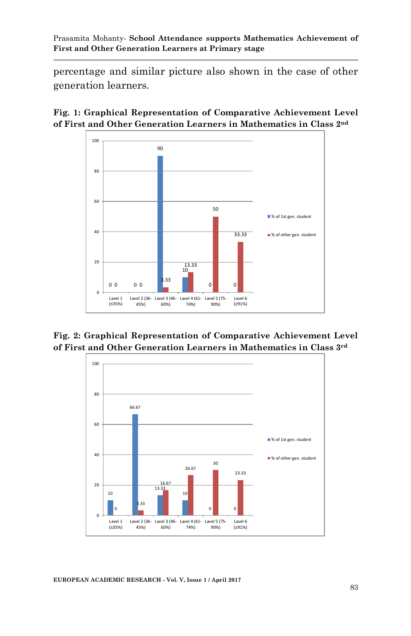percentage and similar picture also shown in the case of other generation learners.





**Fig. 2: Graphical Representation of Comparative Achievement Level of First and Other Generation Learners in Mathematics in Class 3rd**



**EUROPEAN ACADEMIC RESEARCH - Vol. V, Issue 1 / April 2017**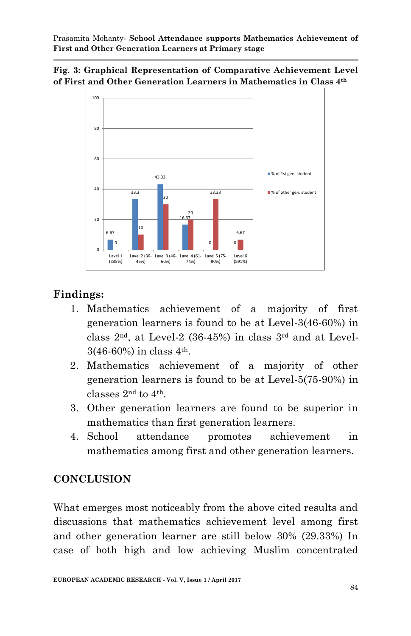



### **Findings:**

- 1. Mathematics achievement of a majority of first generation learners is found to be at Level-3(46-60%) in class  $2<sup>nd</sup>$ , at Level-2 (36-45%) in class  $3<sup>rd</sup>$  and at Level-3(46-60%) in class 4th.
- 2. Mathematics achievement of a majority of other generation learners is found to be at Level-5(75-90%) in classes 2nd to 4th.
- 3. Other generation learners are found to be superior in mathematics than first generation learners.
- 4. School attendance promotes achievement in mathematics among first and other generation learners.

### **CONCLUSION**

What emerges most noticeably from the above cited results and discussions that mathematics achievement level among first and other generation learner are still below 30% (29.33%) In case of both high and low achieving Muslim concentrated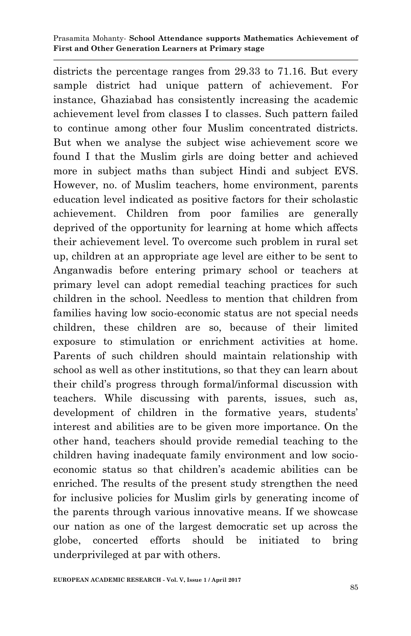districts the percentage ranges from 29.33 to 71.16. But every sample district had unique pattern of achievement. For instance, Ghaziabad has consistently increasing the academic achievement level from classes I to classes. Such pattern failed to continue among other four Muslim concentrated districts. But when we analyse the subject wise achievement score we found I that the Muslim girls are doing better and achieved more in subject maths than subject Hindi and subject EVS. However, no. of Muslim teachers, home environment, parents education level indicated as positive factors for their scholastic achievement. Children from poor families are generally deprived of the opportunity for learning at home which affects their achievement level. To overcome such problem in rural set up, children at an appropriate age level are either to be sent to Anganwadis before entering primary school or teachers at primary level can adopt remedial teaching practices for such children in the school. Needless to mention that children from families having low socio-economic status are not special needs children, these children are so, because of their limited exposure to stimulation or enrichment activities at home. Parents of such children should maintain relationship with school as well as other institutions, so that they can learn about their child"s progress through formal/informal discussion with teachers. While discussing with parents, issues, such as, development of children in the formative years, students' interest and abilities are to be given more importance. On the other hand, teachers should provide remedial teaching to the children having inadequate family environment and low socioeconomic status so that children"s academic abilities can be enriched. The results of the present study strengthen the need for inclusive policies for Muslim girls by generating income of the parents through various innovative means. If we showcase our nation as one of the largest democratic set up across the globe, concerted efforts should be initiated to bring underprivileged at par with others.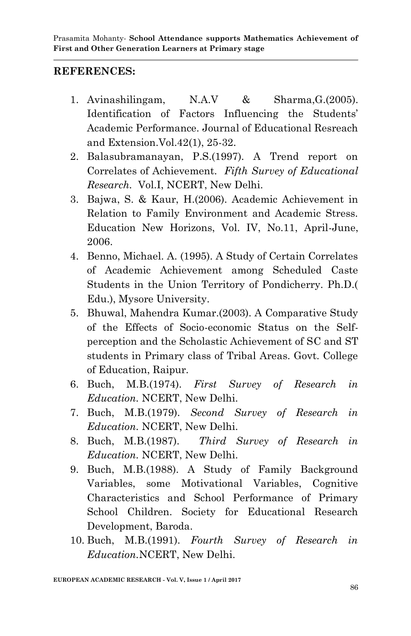### **REFERENCES:**

- 1. Avinashilingam, N.A.V & Sharma,G.(2005). Identification of Factors Influencing the Students' Academic Performance. Journal of Educational Resreach and Extension.Vol.42(1), 25-32.
- 2. Balasubramanayan, P.S.(1997). A Trend report on Correlates of Achievement. *Fifth Survey of Educational Research.* Vol.I, NCERT, New Delhi.
- 3. Bajwa, S. & Kaur, H.(2006). Academic Achievement in Relation to Family Environment and Academic Stress. Education New Horizons, Vol. IV, No.11, April-June, 2006.
- 4. Benno, Michael. A. (1995). A Study of Certain Correlates of Academic Achievement among Scheduled Caste Students in the Union Territory of Pondicherry. Ph.D.( Edu.), Mysore University.
- 5. Bhuwal, Mahendra Kumar.(2003). A Comparative Study of the Effects of Socio-economic Status on the Selfperception and the Scholastic Achievement of SC and ST students in Primary class of Tribal Areas. Govt. College of Education, Raipur.
- 6. Buch, M.B.(1974). *First Survey of Research in Education.* NCERT, New Delhi.
- 7. Buch, M.B.(1979). *Second Survey of Research in Education.* NCERT, New Delhi.
- 8. Buch, M.B.(1987). *Third Survey of Research in Education.* NCERT, New Delhi.
- 9. Buch, M.B.(1988). A Study of Family Background Variables, some Motivational Variables, Cognitive Characteristics and School Performance of Primary School Children. Society for Educational Research Development, Baroda.
- 10. Buch, M.B.(1991). *Fourth Survey of Research in Education.*NCERT, New Delhi.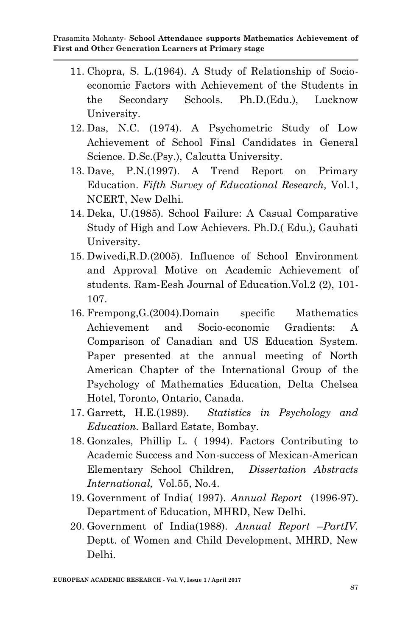- 11. Chopra, S. L.(1964). A Study of Relationship of Socioeconomic Factors with Achievement of the Students in the Secondary Schools. Ph.D.(Edu.), Lucknow University.
- 12. Das, N.C. (1974). A Psychometric Study of Low Achievement of School Final Candidates in General Science. D.Sc.(Psy.), Calcutta University.
- 13. Dave, P.N.(1997). A Trend Report on Primary Education. *Fifth Survey of Educational Research,* Vol.1, NCERT, New Delhi.
- 14. Deka, U.(1985). School Failure: A Casual Comparative Study of High and Low Achievers. Ph.D.( Edu.), Gauhati University.
- 15. Dwivedi,R.D.(2005). Influence of School Environment and Approval Motive on Academic Achievement of students. Ram-Eesh Journal of Education.Vol.2 (2), 101- 107.
- 16. Frempong,G.(2004).Domain specific Mathematics Achievement and Socio-economic Gradients: A Comparison of Canadian and US Education System. Paper presented at the annual meeting of North American Chapter of the International Group of the Psychology of Mathematics Education, Delta Chelsea Hotel, Toronto, Ontario, Canada.
- 17. Garrett, H.E.(1989). *Statistics in Psychology and Education.* Ballard Estate, Bombay.
- 18. Gonzales, Phillip L. ( 1994). Factors Contributing to Academic Success and Non-success of Mexican-American Elementary School Children, *Dissertation Abstracts International,* Vol.55, No.4.
- 19. Government of India( 1997). *Annual Report* (1996-97). Department of Education, MHRD, New Delhi.
- 20. Government of India(1988). *Annual Report* –*PartIV.*  Deptt. of Women and Child Development, MHRD, New Delhi.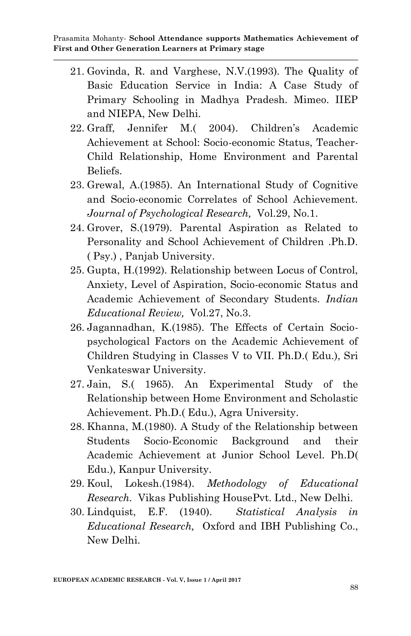- 21. Govinda, R. and Varghese, N.V.(1993). The Quality of Basic Education Service in India: A Case Study of Primary Schooling in Madhya Pradesh. Mimeo. IIEP and NIEPA, New Delhi.
- 22. Graff, Jennifer M.( 2004). Children"s Academic Achievement at School: Socio-economic Status, Teacher-Child Relationship, Home Environment and Parental Beliefs.
- 23. Grewal, A.(1985). An International Study of Cognitive and Socio-economic Correlates of School Achievement. *Journal of Psychological Research,* Vol.29, No.1.
- 24. Grover, S.(1979). Parental Aspiration as Related to Personality and School Achievement of Children .Ph.D. ( Psy.) , Panjab University.
- 25. Gupta, H.(1992). Relationship between Locus of Control, Anxiety, Level of Aspiration, Socio-economic Status and Academic Achievement of Secondary Students. *Indian Educational Review,* Vol.27, No.3.
- 26. Jagannadhan, K.(1985). The Effects of Certain Sociopsychological Factors on the Academic Achievement of Children Studying in Classes V to VII. Ph.D.( Edu.), Sri Venkateswar University.
- 27. Jain, S.( 1965). An Experimental Study of the Relationship between Home Environment and Scholastic Achievement. Ph.D.( Edu.), Agra University.
- 28. Khanna, M.(1980). A Study of the Relationship between Students Socio-Economic Background and their Academic Achievement at Junior School Level. Ph.D( Edu.), Kanpur University.
- 29. Koul, Lokesh.(1984). *Methodology of Educational Research.* Vikas Publishing HousePvt. Ltd., New Delhi.
- 30. Lindquist, E.F. (1940). *Statistical Analysis in Educational Research,* Oxford and IBH Publishing Co., New Delhi.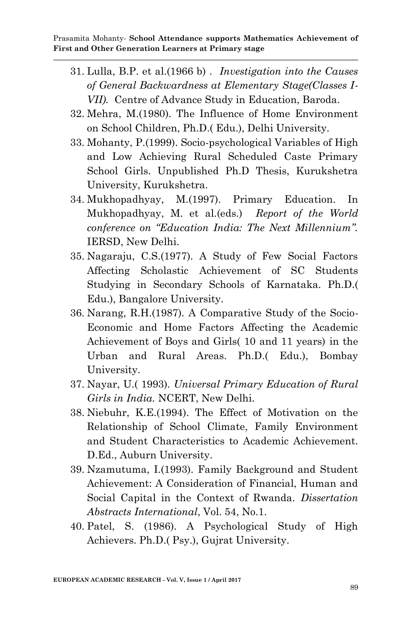- 31. Lulla, B.P. et al.(1966 b) . *Investigation into the Causes of General Backwardness at Elementary Stage(Classes I-VII).* Centre of Advance Study in Education, Baroda.
- 32. Mehra, M.(1980). The Influence of Home Environment on School Children, Ph.D.( Edu.), Delhi University.
- 33. Mohanty, P.(1999). Socio-psychological Variables of High and Low Achieving Rural Scheduled Caste Primary School Girls. Unpublished Ph.D Thesis, Kurukshetra University, Kurukshetra.
- 34. Mukhopadhyay, M.(1997). Primary Education. In Mukhopadhyay, M. et al.(eds.) *Report of the World conference on "Education India: The Next Millennium".*  IERSD, New Delhi.
- 35. Nagaraju, C.S.(1977). A Study of Few Social Factors Affecting Scholastic Achievement of SC Students Studying in Secondary Schools of Karnataka. Ph.D.( Edu.), Bangalore University.
- 36. Narang, R.H.(1987). A Comparative Study of the Socio-Economic and Home Factors Affecting the Academic Achievement of Boys and Girls( 10 and 11 years) in the Urban and Rural Areas. Ph.D.( Edu.), Bombay University.
- 37. Nayar, U.( 1993). *Universal Primary Education of Rural Girls in India.* NCERT, New Delhi.
- 38. Niebuhr, K.E.(1994). The Effect of Motivation on the Relationship of School Climate, Family Environment and Student Characteristics to Academic Achievement. D.Ed., Auburn University.
- 39. Nzamutuma, I.(1993). Family Background and Student Achievement: A Consideration of Financial, Human and Social Capital in the Context of Rwanda. *Dissertation Abstracts International*, Vol. 54, No.1.
- 40. Patel, S. (1986). A Psychological Study of High Achievers. Ph.D.( Psy.), Gujrat University.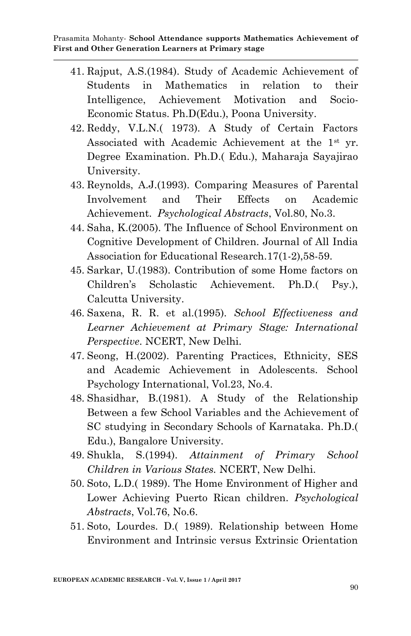- 41. Rajput, A.S.(1984). Study of Academic Achievement of Students in Mathematics in relation to their Intelligence, Achievement Motivation and Socio-Economic Status. Ph.D(Edu.), Poona University.
- 42. Reddy, V.L.N.( 1973). A Study of Certain Factors Associated with Academic Achievement at the 1st yr. Degree Examination. Ph.D.( Edu.), Maharaja Sayajirao University.
- 43. Reynolds, A.J.(1993). Comparing Measures of Parental Involvement and Their Effects on Academic Achievement. *Psychological Abstracts*, Vol.80, No.3.
- 44. Saha, K.(2005). The Influence of School Environment on Cognitive Development of Children. Journal of All India Association for Educational Research.17(1-2),58-59.
- 45. Sarkar, U.(1983). Contribution of some Home factors on Children"s Scholastic Achievement. Ph.D.( Psy.), Calcutta University.
- 46. Saxena, R. R. et al.(1995). *School Effectiveness and Learner Achievement at Primary Stage: International Perspective*. NCERT, New Delhi.
- 47. Seong, H.(2002). Parenting Practices, Ethnicity, SES and Academic Achievement in Adolescents. School Psychology International, Vol.23, No.4.
- 48. Shasidhar, B.(1981). A Study of the Relationship Between a few School Variables and the Achievement of SC studying in Secondary Schools of Karnataka. Ph.D.( Edu.), Bangalore University.
- 49. Shukla, S.(1994). *Attainment of Primary School Children in Various States.* NCERT, New Delhi.
- 50. Soto, L.D.( 1989). The Home Environment of Higher and Lower Achieving Puerto Rican children. *Psychological Abstracts*, Vol.76, No.6.
- 51. Soto, Lourdes. D.( 1989). Relationship between Home Environment and Intrinsic versus Extrinsic Orientation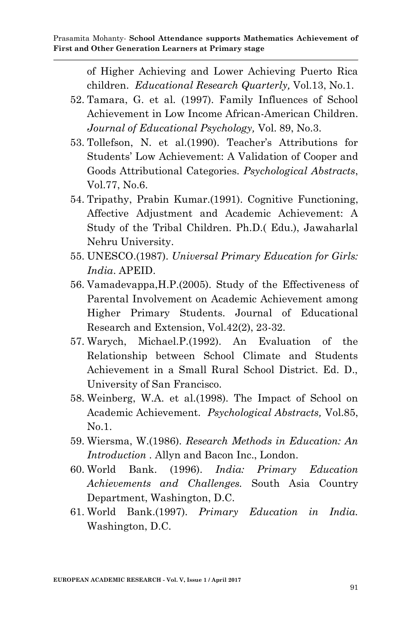of Higher Achieving and Lower Achieving Puerto Rica children. *Educational Research Quarterly,* Vol.13, No.1.

- 52. Tamara, G. et al. (1997). Family Influences of School Achievement in Low Income African-American Children. *Journal of Educational Psychology,* Vol. 89, No.3.
- 53. Tollefson, N. et al.(1990). Teacher's Attributions for Students" Low Achievement: A Validation of Cooper and Goods Attributional Categories. *Psychological Abstracts*, Vol.77, No.6.
- 54. Tripathy, Prabin Kumar.(1991). Cognitive Functioning, Affective Adjustment and Academic Achievement: A Study of the Tribal Children. Ph.D.( Edu.), Jawaharlal Nehru University.
- 55. UNESCO.(1987). *Universal Primary Education for Girls: India*. APEID.
- 56. Vamadevappa,H.P.(2005). Study of the Effectiveness of Parental Involvement on Academic Achievement among Higher Primary Students. Journal of Educational Research and Extension, Vol.42(2), 23-32.
- 57. Warych, Michael.P.(1992). An Evaluation of the Relationship between School Climate and Students Achievement in a Small Rural School District. Ed. D., University of San Francisco.
- 58. Weinberg, W.A. et al.(1998). The Impact of School on Academic Achievement. *Psychological Abstracts,* Vol.85, No.1.
- 59. Wiersma, W.(1986). *Research Methods in Education: An Introduction .* Allyn and Bacon Inc., London.
- 60. World Bank. (1996). *India: Primary Education Achievements and Challenges.* South Asia Country Department, Washington, D.C.
- 61. World Bank.(1997). *Primary Education in India.* Washington, D.C.